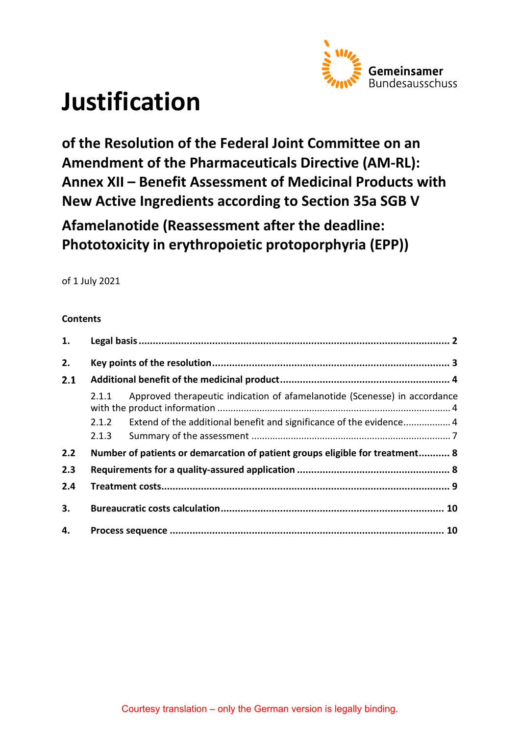

# **Justification**

**of the Resolution of the Federal Joint Committee on an Amendment of the Pharmaceuticals Directive (AM-RL): Annex XII – Benefit Assessment of Medicinal Products with New Active Ingredients according to Section 35a SGB V** 

**Afamelanotide (Reassessment after the deadline: Phototoxicity in erythropoietic protoporphyria (EPP))**

of 1 July 2021

# **Contents**

| 1.  |       |                                                                              |  |  |
|-----|-------|------------------------------------------------------------------------------|--|--|
| 2.  |       |                                                                              |  |  |
| 2.1 |       |                                                                              |  |  |
|     | 2.1.1 | Approved therapeutic indication of afamelanotide (Scenesse) in accordance    |  |  |
|     | 2.1.2 | Extend of the additional benefit and significance of the evidence 4          |  |  |
|     | 2.1.3 |                                                                              |  |  |
| 2.2 |       | Number of patients or demarcation of patient groups eligible for treatment 8 |  |  |
| 2.3 |       |                                                                              |  |  |
| 2.4 |       |                                                                              |  |  |
| 3.  |       |                                                                              |  |  |
| 4.  |       |                                                                              |  |  |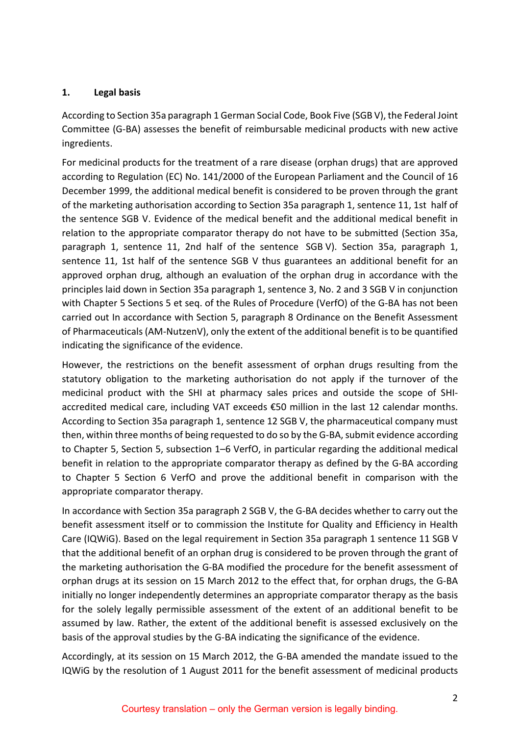#### <span id="page-1-0"></span>**1. Legal basis**

According to Section 35a paragraph 1 German Social Code, Book Five (SGB V), the Federal Joint Committee (G-BA) assesses the benefit of reimbursable medicinal products with new active ingredients.

For medicinal products for the treatment of a rare disease (orphan drugs) that are approved according to Regulation (EC) No. 141/2000 of the European Parliament and the Council of 16 December 1999, the additional medical benefit is considered to be proven through the grant of the marketing authorisation according to Section 35a paragraph 1, sentence 11, 1st half of the sentence SGB V. Evidence of the medical benefit and the additional medical benefit in relation to the appropriate comparator therapy do not have to be submitted (Section 35a, paragraph 1, sentence 11, 2nd half of the sentence SGB V). Section 35a, paragraph 1, sentence 11, 1st half of the sentence SGB V thus guarantees an additional benefit for an approved orphan drug, although an evaluation of the orphan drug in accordance with the principles laid down in Section 35a paragraph 1, sentence 3, No. 2 and 3 SGB V in conjunction with Chapter 5 Sections 5 et seq. of the Rules of Procedure (VerfO) of the G-BA has not been carried out In accordance with Section 5, paragraph 8 Ordinance on the Benefit Assessment of Pharmaceuticals (AM-NutzenV), only the extent of the additional benefit is to be quantified indicating the significance of the evidence.

However, the restrictions on the benefit assessment of orphan drugs resulting from the statutory obligation to the marketing authorisation do not apply if the turnover of the medicinal product with the SHI at pharmacy sales prices and outside the scope of SHIaccredited medical care, including VAT exceeds €50 million in the last 12 calendar months. According to Section 35a paragraph 1, sentence 12 SGB V, the pharmaceutical company must then, within three months of being requested to do so by the G-BA, submit evidence according to Chapter 5, Section 5, subsection 1–6 VerfO, in particular regarding the additional medical benefit in relation to the appropriate comparator therapy as defined by the G-BA according to Chapter 5 Section 6 VerfO and prove the additional benefit in comparison with the appropriate comparator therapy.

In accordance with Section 35a paragraph 2 SGB V, the G-BA decides whether to carry out the benefit assessment itself or to commission the Institute for Quality and Efficiency in Health Care (IQWiG). Based on the legal requirement in Section 35a paragraph 1 sentence 11 SGB V that the additional benefit of an orphan drug is considered to be proven through the grant of the marketing authorisation the G-BA modified the procedure for the benefit assessment of orphan drugs at its session on 15 March 2012 to the effect that, for orphan drugs, the G-BA initially no longer independently determines an appropriate comparator therapy as the basis for the solely legally permissible assessment of the extent of an additional benefit to be assumed by law. Rather, the extent of the additional benefit is assessed exclusively on the basis of the approval studies by the G-BA indicating the significance of the evidence.

Accordingly, at its session on 15 March 2012, the G-BA amended the mandate issued to the IQWiG by the resolution of 1 August 2011 for the benefit assessment of medicinal products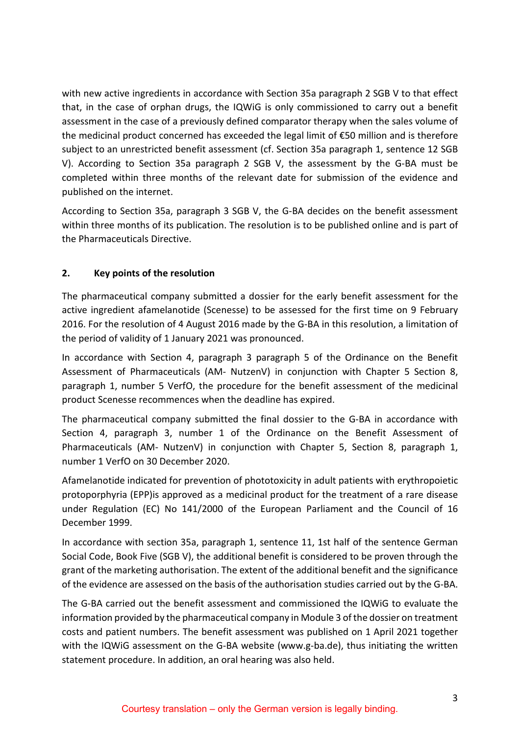with new active ingredients in accordance with Section 35a paragraph 2 SGB V to that effect that, in the case of orphan drugs, the IQWiG is only commissioned to carry out a benefit assessment in the case of a previously defined comparator therapy when the sales volume of the medicinal product concerned has exceeded the legal limit of €50 million and is therefore subject to an unrestricted benefit assessment (cf. Section 35a paragraph 1, sentence 12 SGB V). According to Section 35a paragraph 2 SGB V, the assessment by the G-BA must be completed within three months of the relevant date for submission of the evidence and published on the internet.

According to Section 35a, paragraph 3 SGB V, the G-BA decides on the benefit assessment within three months of its publication. The resolution is to be published online and is part of the Pharmaceuticals Directive.

# <span id="page-2-0"></span>**2. Key points of the resolution**

The pharmaceutical company submitted a dossier for the early benefit assessment for the active ingredient afamelanotide (Scenesse) to be assessed for the first time on 9 February 2016. For the resolution of 4 August 2016 made by the G-BA in this resolution, a limitation of the period of validity of 1 January 2021 was pronounced.

In accordance with Section 4, paragraph 3 paragraph 5 of the Ordinance on the Benefit Assessment of Pharmaceuticals (AM- NutzenV) in conjunction with Chapter 5 Section 8, paragraph 1, number 5 VerfO, the procedure for the benefit assessment of the medicinal product Scenesse recommences when the deadline has expired.

The pharmaceutical company submitted the final dossier to the G-BA in accordance with Section 4, paragraph 3, number 1 of the Ordinance on the Benefit Assessment of Pharmaceuticals (AM- NutzenV) in conjunction with Chapter 5, Section 8, paragraph 1, number 1 VerfO on 30 December 2020.

Afamelanotide indicated for prevention of phototoxicity in adult patients with erythropoietic protoporphyria (EPP)is approved as a medicinal product for the treatment of a rare disease under Regulation (EC) No 141/2000 of the European Parliament and the Council of 16 December 1999.

In accordance with section 35a, paragraph 1, sentence 11, 1st half of the sentence German Social Code, Book Five (SGB V), the additional benefit is considered to be proven through the grant of the marketing authorisation. The extent of the additional benefit and the significance of the evidence are assessed on the basis of the authorisation studies carried out by the G-BA.

The G-BA carried out the benefit assessment and commissioned the IQWiG to evaluate the information provided by the pharmaceutical company in Module 3 of the dossier on treatment costs and patient numbers. The benefit assessment was published on 1 April 2021 together with the IQWiG assessment on the G-BA website [\(www.g-ba.de\)](http://www.g-ba.de/), thus initiating the written statement procedure. In addition, an oral hearing was also held.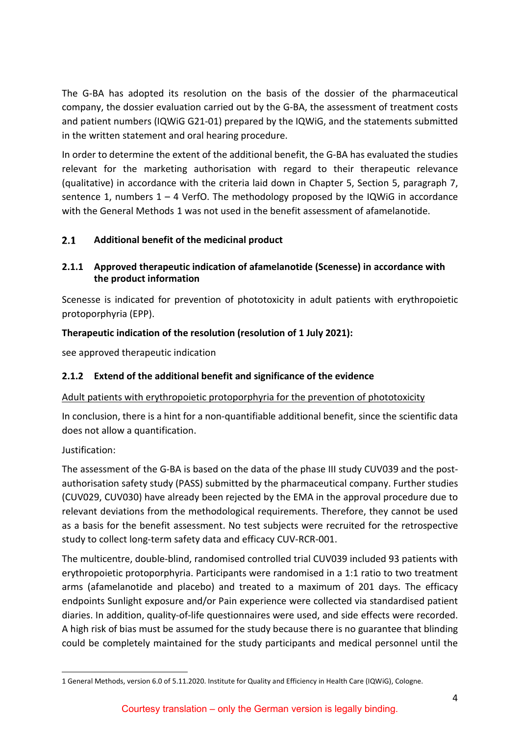The G-BA has adopted its resolution on the basis of the dossier of the pharmaceutical company, the dossier evaluation carried out by the G-BA, the assessment of treatment costs and patient numbers (IQWiG G21-01) prepared by the IQWiG, and the statements submitted in the written statement and oral hearing procedure.

In order to determine the extent of the additional benefit, the G-BA has evaluated the studies relevant for the marketing authorisation with regard to their therapeutic relevance (qualitative) in accordance with the criteria laid down in Chapter 5, Section 5, paragraph 7, sentence 1, numbers  $1 - 4$  VerfO. The methodology proposed by the IQWiG in accordance with the General Methods [1](#page-3-3) was not used in the benefit assessment of afamelanotide.

#### <span id="page-3-0"></span> $2.1$ **Additional benefit of the medicinal product**

# <span id="page-3-1"></span>**2.1.1 Approved therapeutic indication of afamelanotide (Scenesse) in accordance with the product information**

Scenesse is indicated for prevention of phototoxicity in adult patients with erythropoietic protoporphyria (EPP).

# **Therapeutic indication of the resolution (resolution of 1 July 2021):**

see approved therapeutic indication

# <span id="page-3-2"></span>**2.1.2 Extend of the additional benefit and significance of the evidence**

# Adult patients with erythropoietic protoporphyria for the prevention of phototoxicity

In conclusion, there is a hint for a non-quantifiable additional benefit, since the scientific data does not allow a quantification.

# Justification:

The assessment of the G-BA is based on the data of the phase III study CUV039 and the postauthorisation safety study (PASS) submitted by the pharmaceutical company. Further studies (CUV029, CUV030) have already been rejected by the EMA in the approval procedure due to relevant deviations from the methodological requirements. Therefore, they cannot be used as a basis for the benefit assessment. No test subjects were recruited for the retrospective study to collect long-term safety data and efficacy CUV-RCR-001.

The multicentre, double-blind, randomised controlled trial CUV039 included 93 patients with erythropoietic protoporphyria. Participants were randomised in a 1:1 ratio to two treatment arms (afamelanotide and placebo) and treated to a maximum of 201 days. The efficacy endpoints Sunlight exposure and/or Pain experience were collected via standardised patient diaries. In addition, quality-of-life questionnaires were used, and side effects were recorded. A high risk of bias must be assumed for the study because there is no guarantee that blinding could be completely maintained for the study participants and medical personnel until the

<span id="page-3-3"></span> <sup>1</sup> General Methods, version 6.0 of 5.11.2020. Institute for Quality and Efficiency in Health Care (IQWiG), Cologne.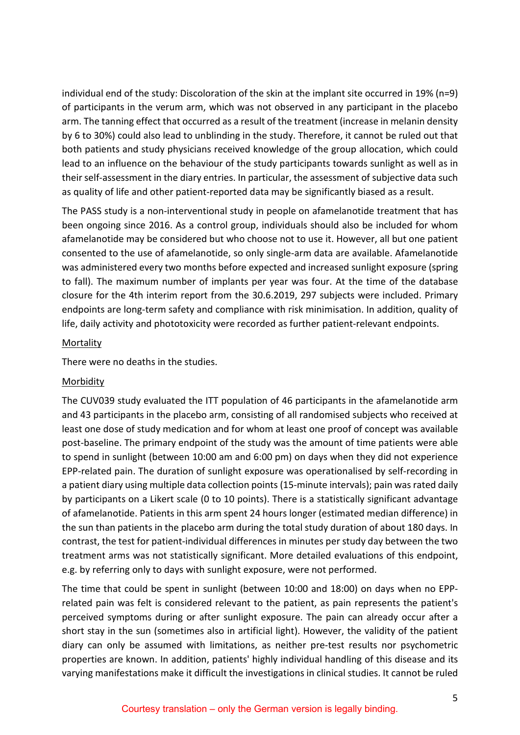individual end of the study: Discoloration of the skin at the implant site occurred in 19% (n=9) of participants in the verum arm, which was not observed in any participant in the placebo arm. The tanning effect that occurred as a result of the treatment (increase in melanin density by 6 to 30%) could also lead to unblinding in the study. Therefore, it cannot be ruled out that both patients and study physicians received knowledge of the group allocation, which could lead to an influence on the behaviour of the study participants towards sunlight as well as in their self-assessment in the diary entries. In particular, the assessment of subjective data such as quality of life and other patient-reported data may be significantly biased as a result.

The PASS study is a non-interventional study in people on afamelanotide treatment that has been ongoing since 2016. As a control group, individuals should also be included for whom afamelanotide may be considered but who choose not to use it. However, all but one patient consented to the use of afamelanotide, so only single-arm data are available. Afamelanotide was administered every two months before expected and increased sunlight exposure (spring to fall). The maximum number of implants per year was four. At the time of the database closure for the 4th interim report from the 30.6.2019, 297 subjects were included. Primary endpoints are long-term safety and compliance with risk minimisation. In addition, quality of life, daily activity and phototoxicity were recorded as further patient-relevant endpoints.

#### Mortality

There were no deaths in the studies.

#### Morbidity

The CUV039 study evaluated the ITT population of 46 participants in the afamelanotide arm and 43 participants in the placebo arm, consisting of all randomised subjects who received at least one dose of study medication and for whom at least one proof of concept was available post-baseline. The primary endpoint of the study was the amount of time patients were able to spend in sunlight (between 10:00 am and 6:00 pm) on days when they did not experience EPP-related pain. The duration of sunlight exposure was operationalised by self-recording in a patient diary using multiple data collection points (15-minute intervals); pain was rated daily by participants on a Likert scale (0 to 10 points). There is a statistically significant advantage of afamelanotide. Patients in this arm spent 24 hours longer (estimated median difference) in the sun than patients in the placebo arm during the total study duration of about 180 days. In contrast, the test for patient-individual differences in minutes per study day between the two treatment arms was not statistically significant. More detailed evaluations of this endpoint, e.g. by referring only to days with sunlight exposure, were not performed.

The time that could be spent in sunlight (between 10:00 and 18:00) on days when no EPPrelated pain was felt is considered relevant to the patient, as pain represents the patient's perceived symptoms during or after sunlight exposure. The pain can already occur after a short stay in the sun (sometimes also in artificial light). However, the validity of the patient diary can only be assumed with limitations, as neither pre-test results nor psychometric properties are known. In addition, patients' highly individual handling of this disease and its varying manifestations make it difficult the investigations in clinical studies. It cannot be ruled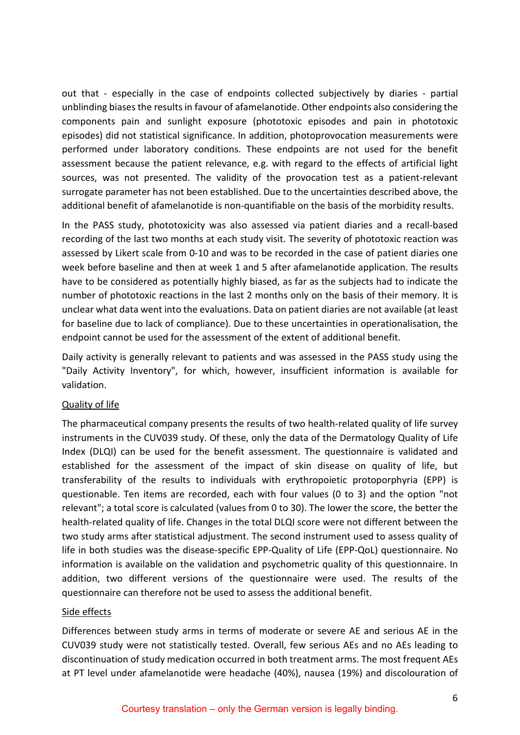out that - especially in the case of endpoints collected subjectively by diaries - partial unblinding biases the results in favour of afamelanotide. Other endpoints also considering the components pain and sunlight exposure (phototoxic episodes and pain in phototoxic episodes) did not statistical significance. In addition, photoprovocation measurements were performed under laboratory conditions. These endpoints are not used for the benefit assessment because the patient relevance, e.g. with regard to the effects of artificial light sources, was not presented. The validity of the provocation test as a patient-relevant surrogate parameter has not been established. Due to the uncertainties described above, the additional benefit of afamelanotide is non-quantifiable on the basis of the morbidity results.

In the PASS study, phototoxicity was also assessed via patient diaries and a recall-based recording of the last two months at each study visit. The severity of phototoxic reaction was assessed by Likert scale from 0-10 and was to be recorded in the case of patient diaries one week before baseline and then at week 1 and 5 after afamelanotide application. The results have to be considered as potentially highly biased, as far as the subjects had to indicate the number of phototoxic reactions in the last 2 months only on the basis of their memory. It is unclear what data went into the evaluations. Data on patient diaries are not available (at least for baseline due to lack of compliance). Due to these uncertainties in operationalisation, the endpoint cannot be used for the assessment of the extent of additional benefit.

Daily activity is generally relevant to patients and was assessed in the PASS study using the "Daily Activity Inventory", for which, however, insufficient information is available for validation.

### Quality of life

The pharmaceutical company presents the results of two health-related quality of life survey instruments in the CUV039 study. Of these, only the data of the Dermatology Quality of Life Index (DLQI) can be used for the benefit assessment. The questionnaire is validated and established for the assessment of the impact of skin disease on quality of life, but transferability of the results to individuals with erythropoietic protoporphyria (EPP) is questionable. Ten items are recorded, each with four values (0 to 3) and the option "not relevant"; a total score is calculated (values from 0 to 30). The lower the score, the better the health-related quality of life. Changes in the total DLQI score were not different between the two study arms after statistical adjustment. The second instrument used to assess quality of life in both studies was the disease-specific EPP-Quality of Life (EPP-QoL) questionnaire. No information is available on the validation and psychometric quality of this questionnaire. In addition, two different versions of the questionnaire were used. The results of the questionnaire can therefore not be used to assess the additional benefit.

#### Side effects

Differences between study arms in terms of moderate or severe AE and serious AE in the CUV039 study were not statistically tested. Overall, few serious AEs and no AEs leading to discontinuation of study medication occurred in both treatment arms. The most frequent AEs at PT level under afamelanotide were headache (40%), nausea (19%) and discolouration of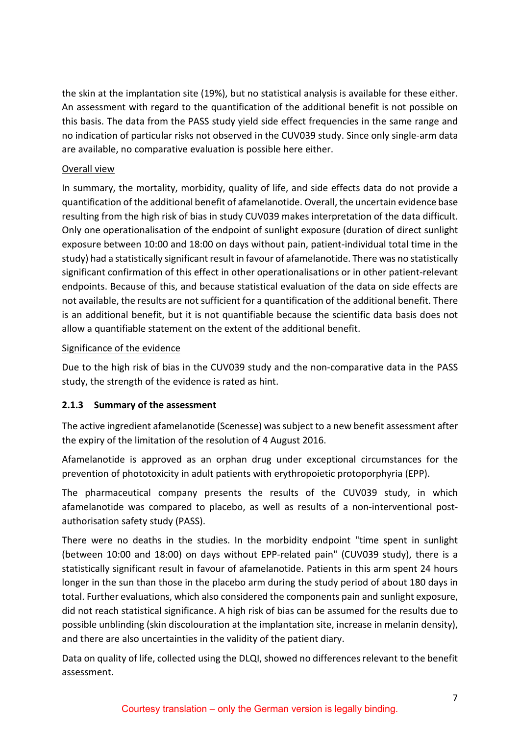the skin at the implantation site (19%), but no statistical analysis is available for these either. An assessment with regard to the quantification of the additional benefit is not possible on this basis. The data from the PASS study yield side effect frequencies in the same range and no indication of particular risks not observed in the CUV039 study. Since only single-arm data are available, no comparative evaluation is possible here either.

### Overall view

In summary, the mortality, morbidity, quality of life, and side effects data do not provide a quantification of the additional benefit of afamelanotide. Overall, the uncertain evidence base resulting from the high risk of bias in study CUV039 makes interpretation of the data difficult. Only one operationalisation of the endpoint of sunlight exposure (duration of direct sunlight exposure between 10:00 and 18:00 on days without pain, patient-individual total time in the study) had a statistically significant result in favour of afamelanotide. There was no statistically significant confirmation of this effect in other operationalisations or in other patient-relevant endpoints. Because of this, and because statistical evaluation of the data on side effects are not available, the results are not sufficient for a quantification of the additional benefit. There is an additional benefit, but it is not quantifiable because the scientific data basis does not allow a quantifiable statement on the extent of the additional benefit.

#### Significance of the evidence

Due to the high risk of bias in the CUV039 study and the non-comparative data in the PASS study, the strength of the evidence is rated as hint.

### <span id="page-6-0"></span>**2.1.3 Summary of the assessment**

The active ingredient afamelanotide (Scenesse) was subject to a new benefit assessment after the expiry of the limitation of the resolution of 4 August 2016.

Afamelanotide is approved as an orphan drug under exceptional circumstances for the prevention of phototoxicity in adult patients with erythropoietic protoporphyria (EPP).

The pharmaceutical company presents the results of the CUV039 study, in which afamelanotide was compared to placebo, as well as results of a non-interventional postauthorisation safety study (PASS).

There were no deaths in the studies. In the morbidity endpoint "time spent in sunlight (between 10:00 and 18:00) on days without EPP-related pain" (CUV039 study), there is a statistically significant result in favour of afamelanotide. Patients in this arm spent 24 hours longer in the sun than those in the placebo arm during the study period of about 180 days in total. Further evaluations, which also considered the components pain and sunlight exposure, did not reach statistical significance. A high risk of bias can be assumed for the results due to possible unblinding (skin discolouration at the implantation site, increase in melanin density), and there are also uncertainties in the validity of the patient diary.

Data on quality of life, collected using the DLQI, showed no differences relevant to the benefit assessment.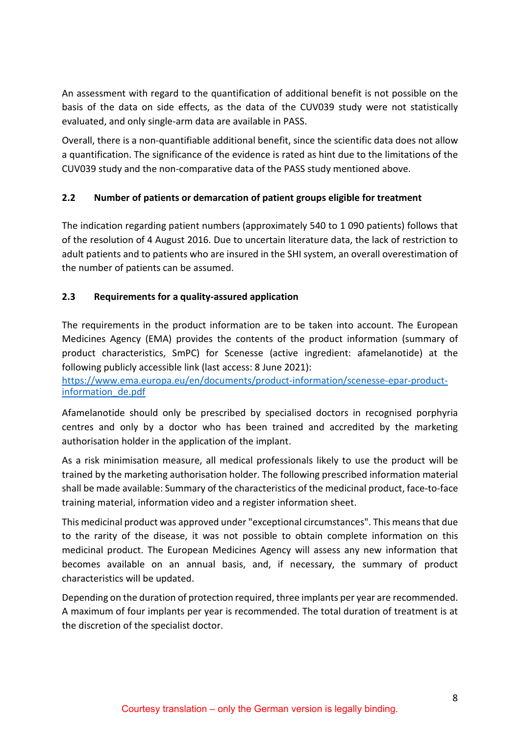An assessment with regard to the quantification of additional benefit is not possible on the basis of the data on side effects, as the data of the CUV039 study were not statistically evaluated, and only single-arm data are available in PASS.

Overall, there is a non-quantifiable additional benefit, since the scientific data does not allow a quantification. The significance of the evidence is rated as hint due to the limitations of the CUV039 study and the non-comparative data of the PASS study mentioned above.

# <span id="page-7-0"></span>**2.2 Number of patients or demarcation of patient groups eligible for treatment**

The indication regarding patient numbers (approximately 540 to 1 090 patients) follows that of the resolution of 4 August 2016. Due to uncertain literature data, the lack of restriction to adult patients and to patients who are insured in the SHI system, an overall overestimation of the number of patients can be assumed.

# <span id="page-7-1"></span>**2.3 Requirements for a quality-assured application**

The requirements in the product information are to be taken into account. The European Medicines Agency (EMA) provides the contents of the product information (summary of product characteristics, SmPC) for Scenesse (active ingredient: afamelanotide) at the following publicly accessible link (last access: 8 June 2021):

[https://www.ema.europa.eu/en/documents/product-information/scenesse-epar-product](https://www.ema.europa.eu/en/documents/product-information/scenesse-epar-product-information_de.pdf)[information\\_de.pdf](https://www.ema.europa.eu/en/documents/product-information/scenesse-epar-product-information_de.pdf)

Afamelanotide should only be prescribed by specialised doctors in recognised porphyria centres and only by a doctor who has been trained and accredited by the marketing authorisation holder in the application of the implant.

As a risk minimisation measure, all medical professionals likely to use the product will be trained by the marketing authorisation holder. The following prescribed information material shall be made available: Summary of the characteristics of the medicinal product, face-to-face training material, information video and a register information sheet.

This medicinal product was approved under "exceptional circumstances". This means that due to the rarity of the disease, it was not possible to obtain complete information on this medicinal product. The European Medicines Agency will assess any new information that becomes available on an annual basis, and, if necessary, the summary of product characteristics will be updated.

Depending on the duration of protection required, three implants per year are recommended. A maximum of four implants per year is recommended. The total duration of treatment is at the discretion of the specialist doctor.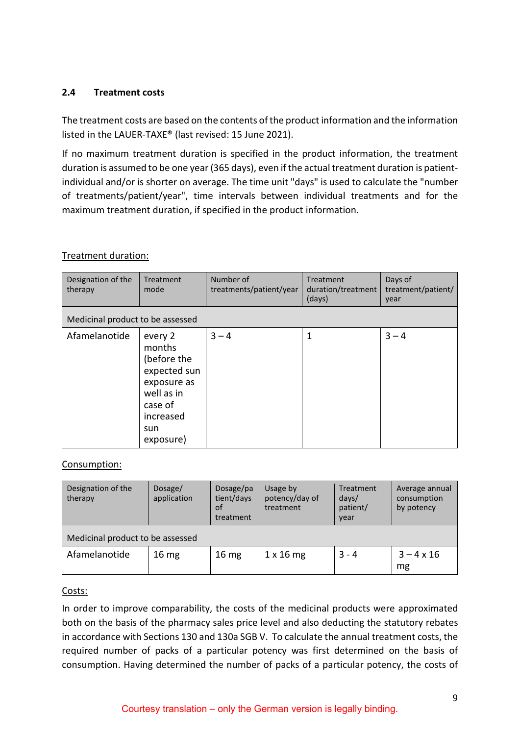#### <span id="page-8-0"></span>**2.4 Treatment costs**

The treatment costs are based on the contents of the product information and the information listed in the LAUER-TAXE® (last revised: 15 June 2021).

If no maximum treatment duration is specified in the product information, the treatment duration is assumed to be one year (365 days), even if the actual treatment duration is patientindividual and/or is shorter on average. The time unit "days" is used to calculate the "number of treatments/patient/year", time intervals between individual treatments and for the maximum treatment duration, if specified in the product information.

#### Treatment duration:

| Designation of the<br>therapy    | Treatment<br>mode                                                                                                         | Number of<br>treatments/patient/year | Treatment<br>duration/treatment<br>(days) | Days of<br>treatment/patient/<br>year |
|----------------------------------|---------------------------------------------------------------------------------------------------------------------------|--------------------------------------|-------------------------------------------|---------------------------------------|
| Medicinal product to be assessed |                                                                                                                           |                                      |                                           |                                       |
| Afamelanotide                    | every 2<br>months<br>(before the<br>expected sun<br>exposure as<br>well as in<br>case of<br>increased<br>sun<br>exposure) | $3 - 4$                              | 1                                         | $3 - 4$                               |

#### Consumption:

| Designation of the<br>therapy    | Dosage/<br>application | Dosage/pa<br>tient/days<br>of<br>treatment | Usage by<br>potency/day of<br>treatment | Treatment<br>days/<br>patient/<br>year | Average annual<br>consumption<br>by potency |  |
|----------------------------------|------------------------|--------------------------------------------|-----------------------------------------|----------------------------------------|---------------------------------------------|--|
| Medicinal product to be assessed |                        |                                            |                                         |                                        |                                             |  |
| Afamelanotide                    | 16 <sub>mg</sub>       | 16 <sub>mg</sub>                           | $1 \times 16$ mg                        | $3 - 4$                                | $3 - 4 \times 16$<br>mg                     |  |

### Costs:

In order to improve comparability, the costs of the medicinal products were approximated both on the basis of the pharmacy sales price level and also deducting the statutory rebates in accordance with Sections 130 and 130a SGB V. To calculate the annual treatment costs, the required number of packs of a particular potency was first determined on the basis of consumption. Having determined the number of packs of a particular potency, the costs of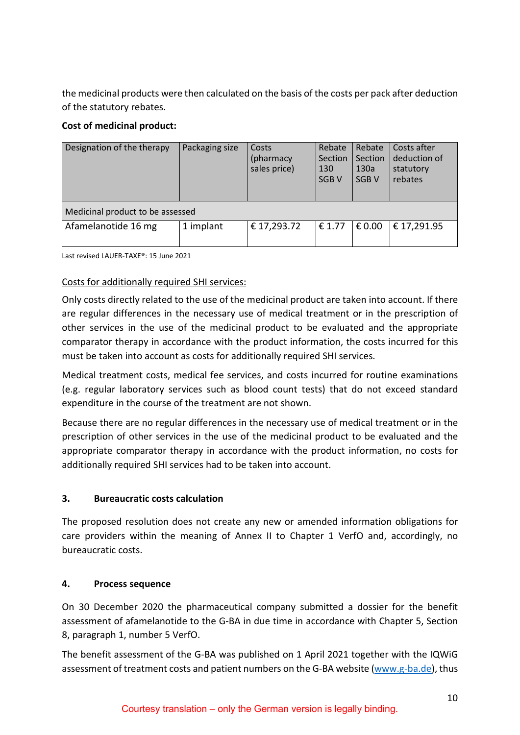the medicinal products were then calculated on the basis of the costs per pack after deduction of the statutory rebates.

# **Cost of medicinal product:**

| Designation of the therapy       | Packaging size | Costs<br>(pharmacy<br>sales price) | Rebate<br>Section<br>130<br>SGB <sub>V</sub> | Rebate<br>Section<br>130a<br>SGB <sub>V</sub> | Costs after<br>deduction of<br>statutory<br>rebates |
|----------------------------------|----------------|------------------------------------|----------------------------------------------|-----------------------------------------------|-----------------------------------------------------|
| Medicinal product to be assessed |                |                                    |                                              |                                               |                                                     |
| Afamelanotide 16 mg              | 1 implant      | € 17,293.72                        | € 1.77                                       | € 0.00                                        | € 17,291.95                                         |

Last revised LAUER-TAXE®: 15 June 2021

#### Costs for additionally required SHI services:

Only costs directly related to the use of the medicinal product are taken into account. If there are regular differences in the necessary use of medical treatment or in the prescription of other services in the use of the medicinal product to be evaluated and the appropriate comparator therapy in accordance with the product information, the costs incurred for this must be taken into account as costs for additionally required SHI services.

Medical treatment costs, medical fee services, and costs incurred for routine examinations (e.g. regular laboratory services such as blood count tests) that do not exceed standard expenditure in the course of the treatment are not shown.

Because there are no regular differences in the necessary use of medical treatment or in the prescription of other services in the use of the medicinal product to be evaluated and the appropriate comparator therapy in accordance with the product information, no costs for additionally required SHI services had to be taken into account.

### <span id="page-9-0"></span>**3. Bureaucratic costs calculation**

The proposed resolution does not create any new or amended information obligations for care providers within the meaning of Annex II to Chapter 1 VerfO and, accordingly, no bureaucratic costs.

#### <span id="page-9-1"></span>**4. Process sequence**

On 30 December 2020 the pharmaceutical company submitted a dossier for the benefit assessment of afamelanotide to the G-BA in due time in accordance with Chapter 5, Section 8, paragraph 1, number 5 VerfO.

The benefit assessment of the G-BA was published on 1 April 2021 together with the IQWiG assessment of treatment costs and patient numbers on the G-BA website [\(www.g-ba.de\)](http://www.g-ba.de/), thus